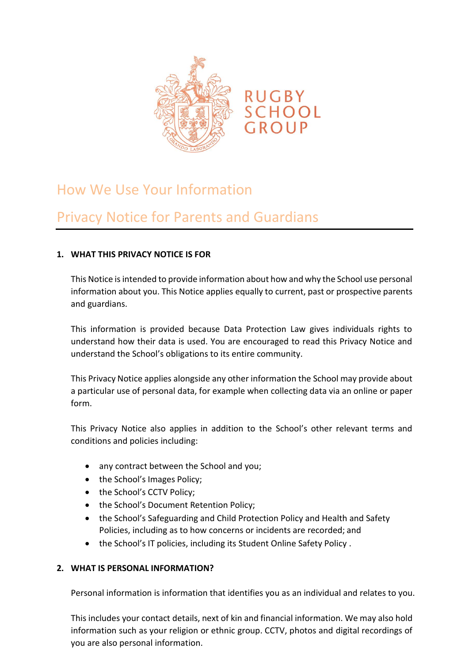

# How We Use Your Information

## Privacy Notice for Parents and Guardians

## **1. WHAT THIS PRIVACY NOTICE IS FOR**

This Notice is intended to provide information about how and why the School use personal information about you. This Notice applies equally to current, past or prospective parents and guardians.

This information is provided because Data Protection Law gives individuals rights to understand how their data is used. You are encouraged to read this Privacy Notice and understand the School's obligations to its entire community.

This Privacy Notice applies alongside any other information the School may provide about a particular use of personal data, for example when collecting data via an online or paper form.

This Privacy Notice also applies in addition to the School's other relevant terms and conditions and policies including:

- any contract between the School and you;
- the School's Images Policy;
- the School's CCTV Policy;
- the School's Document Retention Policy;
- the School's Safeguarding and Child Protection Policy and Health and Safety Policies, including as to how concerns or incidents are recorded; and
- the School's IT policies, including its Student Online Safety Policy .

## **2. WHAT IS PERSONAL INFORMATION?**

Personal information is information that identifies you as an individual and relates to you.

This includes your contact details, next of kin and financial information. We may also hold information such as your religion or ethnic group. CCTV, photos and digital recordings of you are also personal information.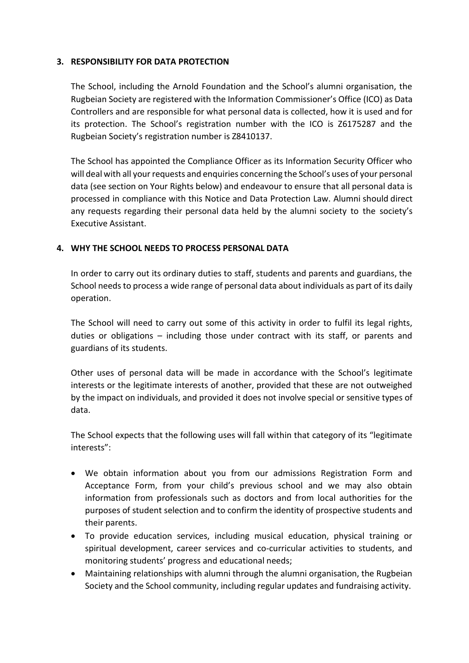#### **3. RESPONSIBILITY FOR DATA PROTECTION**

The School, including the Arnold Foundation and the School's alumni organisation, the Rugbeian Society are registered with the Information Commissioner's Office (ICO) as Data Controllers and are responsible for what personal data is collected, how it is used and for its protection. The School's registration number with the ICO is Z6175287 and the Rugbeian Society's registration number is Z8410137.

The School has appointed the Compliance Officer as its Information Security Officer who will deal with all your requests and enquiries concerning the School's uses of your personal data (see section on Your Rights below) and endeavour to ensure that all personal data is processed in compliance with this Notice and Data Protection Law. Alumni should direct any requests regarding their personal data held by the alumni society to the society's Executive Assistant.

## **4. WHY THE SCHOOL NEEDS TO PROCESS PERSONAL DATA**

In order to carry out its ordinary duties to staff, students and parents and guardians, the School needs to process a wide range of personal data about individuals as part of its daily operation.

The School will need to carry out some of this activity in order to fulfil its legal rights, duties or obligations – including those under contract with its staff, or parents and guardians of its students.

Other uses of personal data will be made in accordance with the School's legitimate interests or the legitimate interests of another, provided that these are not outweighed by the impact on individuals, and provided it does not involve special or sensitive types of data.

The School expects that the following uses will fall within that category of its "legitimate interests":

- We obtain information about you from our admissions Registration Form and Acceptance Form, from your child's previous school and we may also obtain information from professionals such as doctors and from local authorities for the purposes of student selection and to confirm the identity of prospective students and their parents.
- To provide education services, including musical education, physical training or spiritual development, career services and co-curricular activities to students, and monitoring students' progress and educational needs;
- Maintaining relationships with alumni through the alumni organisation, the Rugbeian Society and the School community, including regular updates and fundraising activity.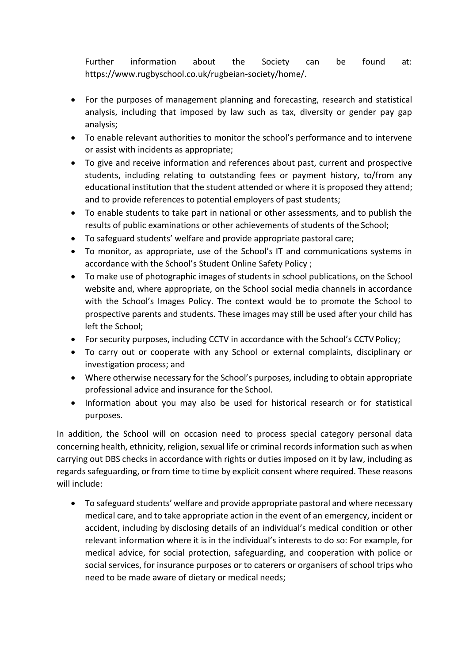Further information about the Society can be found at: https:[//www.rugbyschool.co.uk/rugbeian-society/home/.](http://www.rugbyschool.co.uk/rugbeian-society/home/)

- For the purposes of management planning and forecasting, research and statistical analysis, including that imposed by law such as tax, diversity or gender pay gap analysis;
- To enable relevant authorities to monitor the school's performance and to intervene or assist with incidents as appropriate;
- To give and receive information and references about past, current and prospective students, including relating to outstanding fees or payment history, to/from any educational institution that the student attended or where it is proposed they attend; and to provide references to potential employers of past students;
- To enable students to take part in national or other assessments, and to publish the results of public examinations or other achievements of students of the School;
- To safeguard students' welfare and provide appropriate pastoral care;
- To monitor, as appropriate, use of the School's IT and communications systems in accordance with the School's Student Online Safety Policy ;
- To make use of photographic images of students in school publications, on the School website and, where appropriate, on the School social media channels in accordance with the School's Images Policy. The context would be to promote the School to prospective parents and students. These images may still be used after your child has left the School;
- For security purposes, including CCTV in accordance with the School's CCTV Policy;
- To carry out or cooperate with any School or external complaints, disciplinary or investigation process; and
- Where otherwise necessary for the School's purposes, including to obtain appropriate professional advice and insurance for the School.
- Information about you may also be used for historical research or for statistical purposes.

In addition, the School will on occasion need to process special category personal data concerning health, ethnicity, religion, sexual life or criminal records information such as when carrying out DBS checks in accordance with rights or duties imposed on it by law, including as regards safeguarding, or from time to time by explicit consent where required. These reasons will include:

• To safeguard students' welfare and provide appropriate pastoral and where necessary medical care, and to take appropriate action in the event of an emergency, incident or accident, including by disclosing details of an individual's medical condition or other relevant information where it is in the individual's interests to do so: For example, for medical advice, for social protection, safeguarding, and cooperation with police or social services, for insurance purposes or to caterers or organisers of school trips who need to be made aware of dietary or medical needs;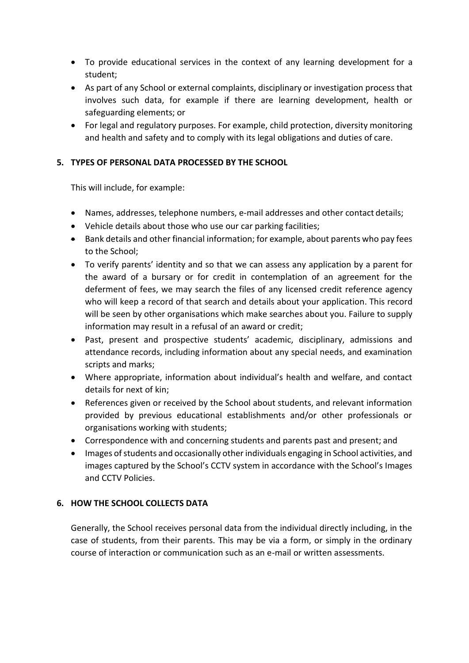- To provide educational services in the context of any learning development for a student;
- As part of any School or external complaints, disciplinary or investigation process that involves such data, for example if there are learning development, health or safeguarding elements; or
- For legal and regulatory purposes. For example, child protection, diversity monitoring and health and safety and to comply with its legal obligations and duties of care.

## **5. TYPES OF PERSONAL DATA PROCESSED BY THE SCHOOL**

This will include, for example:

- Names, addresses, telephone numbers, e-mail addresses and other contact details;
- Vehicle details about those who use our car parking facilities;
- Bank details and other financial information; for example, about parents who pay fees to the School;
- To verify parents' identity and so that we can assess any application by a parent for the award of a bursary or for credit in contemplation of an agreement for the deferment of fees, we may search the files of any licensed credit reference agency who will keep a record of that search and details about your application. This record will be seen by other organisations which make searches about you. Failure to supply information may result in a refusal of an award or credit;
- Past, present and prospective students' academic, disciplinary, admissions and attendance records, including information about any special needs, and examination scripts and marks;
- Where appropriate, information about individual's health and welfare, and contact details for next of kin;
- References given or received by the School about students, and relevant information provided by previous educational establishments and/or other professionals or organisations working with students;
- Correspondence with and concerning students and parents past and present; and
- Images of students and occasionally other individuals engaging in School activities, and images captured by the School's CCTV system in accordance with the School's Images and CCTV Policies.

## **6. HOW THE SCHOOL COLLECTS DATA**

Generally, the School receives personal data from the individual directly including, in the case of students, from their parents. This may be via a form, or simply in the ordinary course of interaction or communication such as an e-mail or written assessments.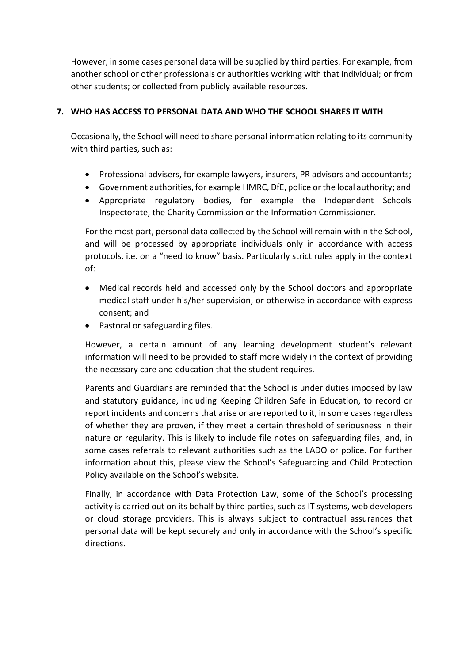However, in some cases personal data will be supplied by third parties. For example, from another school or other professionals or authorities working with that individual; or from other students; or collected from publicly available resources.

## **7. WHO HAS ACCESS TO PERSONAL DATA AND WHO THE SCHOOL SHARES IT WITH**

Occasionally, the School will need to share personal information relating to its community with third parties, such as:

- Professional advisers, for example lawyers, insurers, PR advisors and accountants;
- Government authorities, for example HMRC, DfE, police orthe local authority; and
- Appropriate regulatory bodies, for example the Independent Schools Inspectorate, the Charity Commission or the Information Commissioner.

For the most part, personal data collected by the School will remain within the School, and will be processed by appropriate individuals only in accordance with access protocols, i.e. on a "need to know" basis. Particularly strict rules apply in the context of:

- Medical records held and accessed only by the School doctors and appropriate medical staff under his/her supervision, or otherwise in accordance with express consent; and
- Pastoral or safeguarding files.

However, a certain amount of any learning development student's relevant information will need to be provided to staff more widely in the context of providing the necessary care and education that the student requires.

Parents and Guardians are reminded that the School is under duties imposed by law and statutory guidance, including Keeping Children Safe in Education, to record or report incidents and concerns that arise or are reported to it, in some cases regardless of whether they are proven, if they meet a certain threshold of seriousness in their nature or regularity. This is likely to include file notes on safeguarding files, and, in some cases referrals to relevant authorities such as the LADO or police. For further information about this, please view the School's Safeguarding and Child Protection Policy available on the School's website.

Finally, in accordance with Data Protection Law, some of the School's processing activity is carried out on its behalf by third parties, such as IT systems, web developers or cloud storage providers. This is always subject to contractual assurances that personal data will be kept securely and only in accordance with the School's specific directions.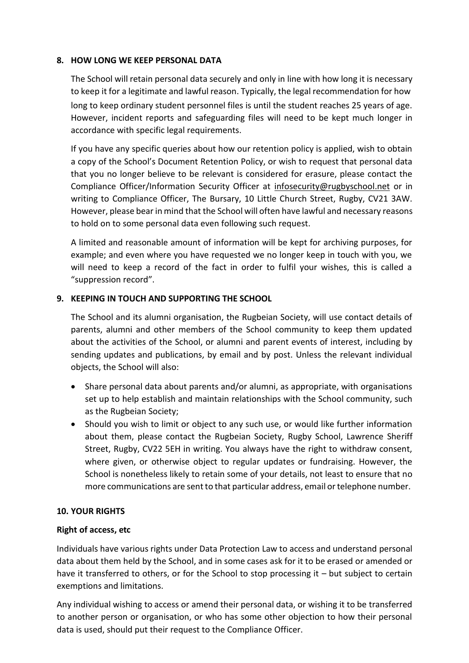#### **8. HOW LONG WE KEEP PERSONAL DATA**

The School will retain personal data securely and only in line with how long it is necessary to keep it for a legitimate and lawful reason. Typically, the legal recommendation for how long to keep ordinary student personnel files is until the student reaches 25 years of age. However, incident reports and safeguarding files will need to be kept much longer in accordance with specific legal requirements.

If you have any specific queries about how our retention policy is applied, wish to obtain a copy of the School's Document Retention Policy, or wish to request that personal data that you no longer believe to be relevant is considered for erasure, please contact the Compliance Officer/Information Security Officer at [infosecurity@rugbyschool.net](mailto:infosecurity@rugbyschool.net) or in writing to Compliance Officer, The Bursary, 10 Little Church Street, Rugby, CV21 3AW. However, please bear in mind that the School will often have lawful and necessary reasons to hold on to some personal data even following such request.

A limited and reasonable amount of information will be kept for archiving purposes, for example; and even where you have requested we no longer keep in touch with you, we will need to keep a record of the fact in order to fulfil your wishes, this is called a "suppression record".

## **9. KEEPING IN TOUCH AND SUPPORTING THE SCHOOL**

The School and its alumni organisation, the Rugbeian Society, will use contact details of parents, alumni and other members of the School community to keep them updated about the activities of the School, or alumni and parent events of interest, including by sending updates and publications, by email and by post. Unless the relevant individual objects, the School will also:

- Share personal data about parents and/or alumni, as appropriate, with organisations set up to help establish and maintain relationships with the School community, such as the Rugbeian Society;
- Should you wish to limit or object to any such use, or would like further information about them, please contact the Rugbeian Society, Rugby School, Lawrence Sheriff Street, Rugby, CV22 5EH in writing. You always have the right to withdraw consent, where given, or otherwise object to regular updates or fundraising. However, the School is nonetheless likely to retain some of your details, not least to ensure that no more communications are sent to that particular address, email or telephone number.

## **10. YOUR RIGHTS**

## **Right of access, etc**

Individuals have various rights under Data Protection Law to access and understand personal data about them held by the School, and in some cases ask for it to be erased or amended or have it transferred to others, or for the School to stop processing it – but subject to certain exemptions and limitations.

Any individual wishing to access or amend their personal data, or wishing it to be transferred to another person or organisation, or who has some other objection to how their personal data is used, should put their request to the Compliance Officer.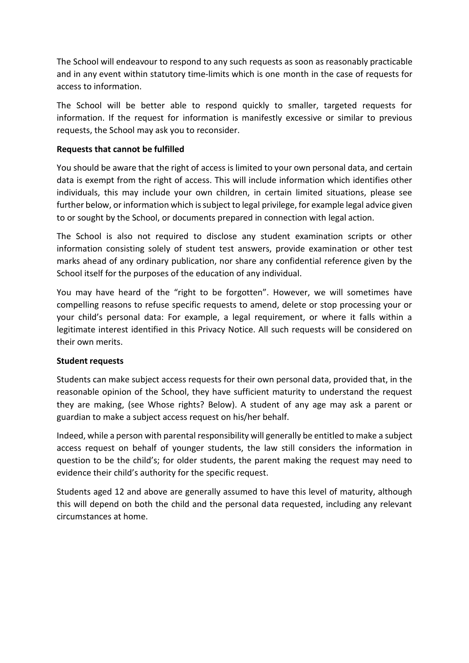The School will endeavour to respond to any such requests as soon as reasonably practicable and in any event within statutory time-limits which is one month in the case of requests for access to information.

The School will be better able to respond quickly to smaller, targeted requests for information. If the request for information is manifestly excessive or similar to previous requests, the School may ask you to reconsider.

## **Requests that cannot be fulfilled**

You should be aware that the right of access is limited to your own personal data, and certain data is exempt from the right of access. This will include information which identifies other individuals, this may include your own children, in certain limited situations, please see further below, or information which issubject to legal privilege, for example legal advice given to or sought by the School, or documents prepared in connection with legal action.

The School is also not required to disclose any student examination scripts or other information consisting solely of student test answers, provide examination or other test marks ahead of any ordinary publication, nor share any confidential reference given by the School itself for the purposes of the education of any individual.

You may have heard of the "right to be forgotten". However, we will sometimes have compelling reasons to refuse specific requests to amend, delete or stop processing your or your child's personal data: For example, a legal requirement, or where it falls within a legitimate interest identified in this Privacy Notice. All such requests will be considered on their own merits.

## **Student requests**

Students can make subject access requests for their own personal data, provided that, in the reasonable opinion of the School, they have sufficient maturity to understand the request they are making, (see Whose rights? Below). A student of any age may ask a parent or guardian to make a subject access request on his/her behalf.

Indeed, while a person with parental responsibility will generally be entitled to make a subject access request on behalf of younger students, the law still considers the information in question to be the child's; for older students, the parent making the request may need to evidence their child's authority for the specific request.

Students aged 12 and above are generally assumed to have this level of maturity, although this will depend on both the child and the personal data requested, including any relevant circumstances at home.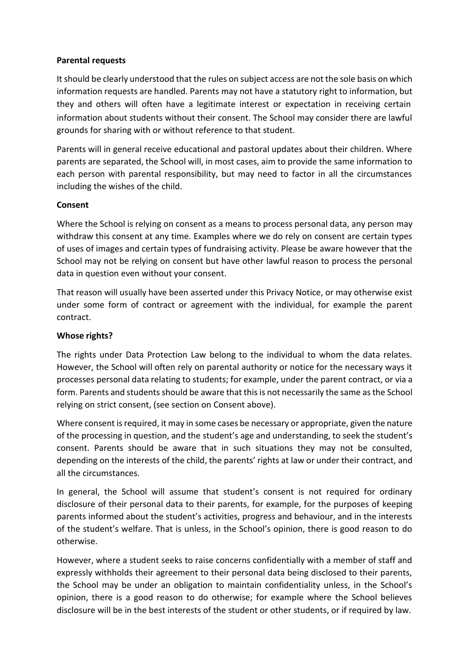#### **Parental requests**

Itshould be clearly understood that the rules on subject access are not the sole basis on which information requests are handled. Parents may not have a statutory right to information, but they and others will often have a legitimate interest or expectation in receiving certain information about students without their consent. The School may consider there are lawful grounds for sharing with or without reference to that student.

Parents will in general receive educational and pastoral updates about their children. Where parents are separated, the School will, in most cases, aim to provide the same information to each person with parental responsibility, but may need to factor in all the circumstances including the wishes of the child.

#### **Consent**

Where the School is relying on consent as a means to process personal data, any person may withdraw this consent at any time. Examples where we do rely on consent are certain types of uses of images and certain types of fundraising activity. Please be aware however that the School may not be relying on consent but have other lawful reason to process the personal data in question even without your consent.

That reason will usually have been asserted under this Privacy Notice, or may otherwise exist under some form of contract or agreement with the individual, for example the parent contract.

#### **Whose rights?**

The rights under Data Protection Law belong to the individual to whom the data relates. However, the School will often rely on parental authority or notice for the necessary ways it processes personal data relating to students; for example, under the parent contract, or via a form. Parents and students should be aware that this is not necessarily the same as the School relying on strict consent, (see section on Consent above).

Where consent is required, it may in some cases be necessary or appropriate, given the nature of the processing in question, and the student's age and understanding, to seek the student's consent. Parents should be aware that in such situations they may not be consulted, depending on the interests of the child, the parents' rights at law or under their contract, and all the circumstances.

In general, the School will assume that student's consent is not required for ordinary disclosure of their personal data to their parents, for example, for the purposes of keeping parents informed about the student's activities, progress and behaviour, and in the interests of the student's welfare. That is unless, in the School's opinion, there is good reason to do otherwise.

However, where a student seeks to raise concerns confidentially with a member of staff and expressly withholds their agreement to their personal data being disclosed to their parents, the School may be under an obligation to maintain confidentiality unless, in the School's opinion, there is a good reason to do otherwise; for example where the School believes disclosure will be in the best interests of the student or other students, or if required by law.